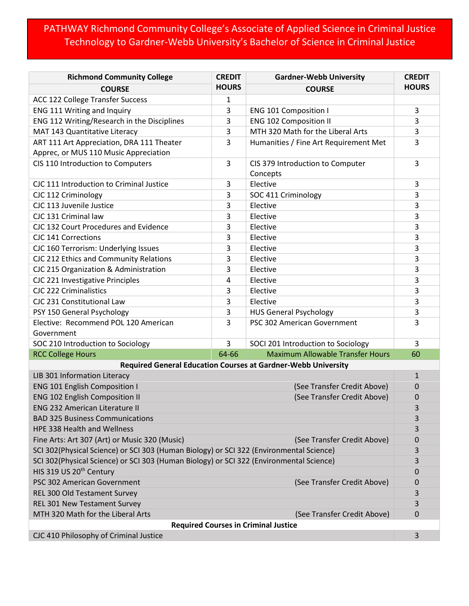## PATHWAY Richmond Community College's Associate of Applied Science in Criminal Justice Technology to Gardner-Webb University's Bachelor of Science in Criminal Justice

| <b>Richmond Community College</b>                                                       | <b>CREDIT</b>               | <b>Gardner-Webb University</b>          | <b>CREDIT</b> |  |
|-----------------------------------------------------------------------------------------|-----------------------------|-----------------------------------------|---------------|--|
| <b>COURSE</b>                                                                           | <b>HOURS</b>                | <b>COURSE</b>                           | <b>HOURS</b>  |  |
| ACC 122 College Transfer Success                                                        | 1                           |                                         |               |  |
| ENG 111 Writing and Inquiry                                                             | 3                           | <b>ENG 101 Composition I</b>            | 3             |  |
| ENG 112 Writing/Research in the Disciplines                                             | 3                           | <b>ENG 102 Composition II</b>           | 3             |  |
| MAT 143 Quantitative Literacy                                                           | 3                           | MTH 320 Math for the Liberal Arts       | 3             |  |
| ART 111 Art Appreciation, DRA 111 Theater                                               | 3                           | Humanities / Fine Art Requirement Met   | 3             |  |
| Apprec, or MUS 110 Music Appreciation                                                   |                             |                                         |               |  |
| CIS 110 Introduction to Computers                                                       | 3                           | CIS 379 Introduction to Computer        | 3             |  |
|                                                                                         |                             | Concepts                                |               |  |
| CJC 111 Introduction to Criminal Justice                                                | 3                           | Elective                                | 3             |  |
| CJC 112 Criminology                                                                     | 3                           | SOC 411 Criminology                     | 3             |  |
| CJC 113 Juvenile Justice                                                                | 3                           | Elective                                | 3             |  |
| CJC 131 Criminal law                                                                    | 3                           | Elective                                | 3             |  |
| CJC 132 Court Procedures and Evidence                                                   | 3                           | Elective                                | 3             |  |
| <b>CJC 141 Corrections</b>                                                              | 3                           | Elective                                | 3             |  |
| CJC 160 Terrorism: Underlying Issues                                                    | 3                           | Elective                                | 3             |  |
| CJC 212 Ethics and Community Relations                                                  | 3                           | Elective                                | 3             |  |
| CJC 215 Organization & Administration                                                   | 3                           | Elective                                | 3             |  |
| CJC 221 Investigative Principles                                                        | 4                           | Elective                                | 3             |  |
| <b>CJC 222 Criminalistics</b>                                                           | 3                           | Elective                                | 3             |  |
| CJC 231 Constitutional Law                                                              | 3                           | Elective                                | 3             |  |
| PSY 150 General Psychology                                                              | 3                           | <b>HUS General Psychology</b>           | 3             |  |
| Elective: Recommend POL 120 American                                                    | 3                           | PSC 302 American Government             | 3             |  |
| Government                                                                              |                             |                                         |               |  |
| SOC 210 Introduction to Sociology                                                       | 3                           | SOCI 201 Introduction to Sociology      | 3             |  |
| <b>RCC College Hours</b>                                                                | 64-66                       | <b>Maximum Allowable Transfer Hours</b> | 60            |  |
| Required General Education Courses at Gardner-Webb University                           |                             |                                         |               |  |
| LIB 301 Information Literacy<br>$\mathbf{1}$                                            |                             |                                         |               |  |
| <b>ENG 101 English Composition I</b>                                                    |                             | (See Transfer Credit Above)             | 0             |  |
| <b>ENG 102 English Composition II</b><br>(See Transfer Credit Above)                    |                             |                                         | 0             |  |
| <b>ENG 232 American Literature II</b>                                                   |                             |                                         | 3             |  |
| <b>BAD 325 Business Communications</b>                                                  |                             |                                         | 3             |  |
| HPE 338 Health and Wellness                                                             |                             |                                         | 3             |  |
| Fine Arts: Art 307 (Art) or Music 320 (Music)<br>(See Transfer Credit Above)            |                             |                                         | 0             |  |
| SCI 302(Physical Science) or SCI 303 (Human Biology) or SCI 322 (Environmental Science) |                             |                                         | 3             |  |
| SCI 302(Physical Science) or SCI 303 (Human Biology) or SCI 322 (Environmental Science) |                             |                                         | 3             |  |
| HIS 319 US 20 <sup>th</sup> Century                                                     |                             |                                         | 0             |  |
| PSC 302 American Government                                                             | (See Transfer Credit Above) |                                         |               |  |
| REL 300 Old Testament Survey                                                            |                             |                                         |               |  |
| REL 301 New Testament Survey                                                            |                             |                                         | 3             |  |
| MTH 320 Math for the Liberal Arts                                                       |                             | (See Transfer Credit Above)             | 0             |  |
| <b>Required Courses in Criminal Justice</b>                                             |                             |                                         |               |  |
| CJC 410 Philosophy of Criminal Justice                                                  |                             |                                         | 3             |  |